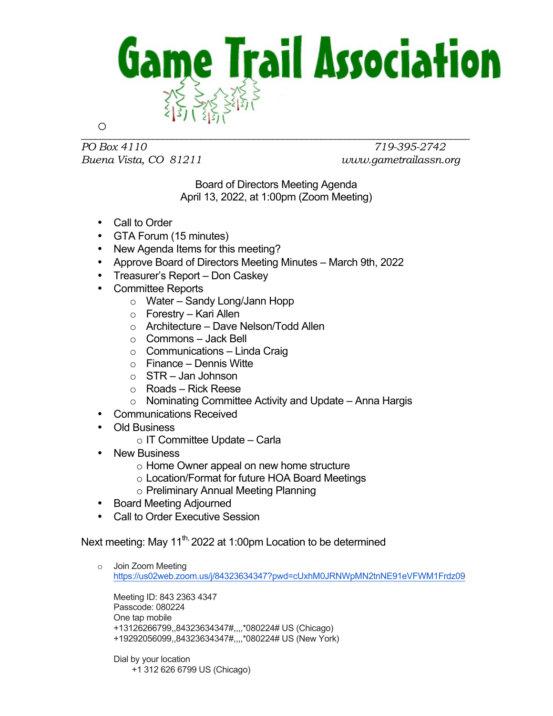

*PO Box 4110 719-395-2742 Buena Vista, CO 81211 www.gametrailassn.org*

Board of Directors Meeting Agenda April 13, 2022, at 1:00pm (Zoom Meeting)

- Call to Order
- GTA Forum (15 minutes)
- New Agenda Items for this meeting?
- Approve Board of Directors Meeting Minutes March 9th, 2022
- Treasurer's Report Don Caskey
- Committee Reports
	- o Water Sandy Long/Jann Hopp
	- o Forestry Kari Allen
	- o Architecture Dave Nelson/Todd Allen
	- o Commons Jack Bell
	- $\circ$  Communications Linda Craig
	- $\circ$  Finance Dennis Witte
	- $\circ$  STR Jan Johnson
	- o Roads Rick Reese
	- $\circ$  Nominating Committee Activity and Update Anna Hargis
- Communications Received
- Old Business
	- $\circ$  IT Committee Update Carla
- New Business
	- o Home Owner appeal on new home structure
	- o Location/Format for future HOA Board Meetings
	- o Preliminary Annual Meeting Planning
- Board Meeting Adjourned
- Call to Order Executive Session

Next meeting: May 11<sup>th,</sup> 2022 at 1:00pm Location to be determined

o Join Zoom Meeting https://us02web.zoom.us/j/84323634347?pwd=cUxhM0JRNWpMN2tnNE91eVFWM1Frdz09

Meeting ID: 843 2363 4347 Passcode: 080224 One tap mobile +13126266799,,84323634347#,,,,\*080224# US (Chicago) +19292056099,,84323634347#,,,,\*080224# US (New York)

Dial by your location +1 312 626 6799 US (Chicago)